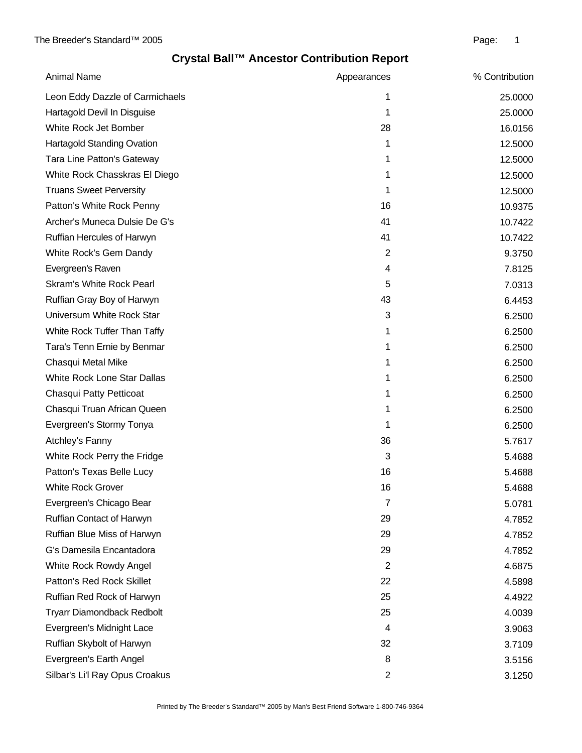| <b>Animal Name</b>                 | Appearances    | % Contribution |
|------------------------------------|----------------|----------------|
| Leon Eddy Dazzle of Carmichaels    | 1              | 25.0000        |
| Hartagold Devil In Disguise        | 1              | 25.0000        |
| White Rock Jet Bomber              | 28             | 16.0156        |
| <b>Hartagold Standing Ovation</b>  | 1              | 12.5000        |
| Tara Line Patton's Gateway         | 1              | 12.5000        |
| White Rock Chasskras El Diego      | 1              | 12.5000        |
| <b>Truans Sweet Perversity</b>     | 1              | 12.5000        |
| Patton's White Rock Penny          | 16             | 10.9375        |
| Archer's Muneca Dulsie De G's      | 41             | 10.7422        |
| Ruffian Hercules of Harwyn         | 41             | 10.7422        |
| White Rock's Gem Dandy             | $\overline{2}$ | 9.3750         |
| Evergreen's Raven                  | 4              | 7.8125         |
| <b>Skram's White Rock Pearl</b>    | 5              | 7.0313         |
| Ruffian Gray Boy of Harwyn         | 43             | 6.4453         |
| Universum White Rock Star          | 3              | 6.2500         |
| White Rock Tuffer Than Taffy       | 1              | 6.2500         |
| Tara's Tenn Ernie by Benmar        | 1              | 6.2500         |
| Chasqui Metal Mike                 | 1              | 6.2500         |
| <b>White Rock Lone Star Dallas</b> | 1              | 6.2500         |
| Chasqui Patty Petticoat            | 1              | 6.2500         |
| Chasqui Truan African Queen        | 1              | 6.2500         |
| Evergreen's Stormy Tonya           | 1              | 6.2500         |
| Atchley's Fanny                    | 36             | 5.7617         |
| White Rock Perry the Fridge        | 3              | 5.4688         |
| Patton's Texas Belle Lucy          | 16             | 5.4688         |
| <b>White Rock Grover</b>           | 16             | 5.4688         |
| Evergreen's Chicago Bear           | 7              | 5.0781         |
| Ruffian Contact of Harwyn          | 29             | 4.7852         |
| Ruffian Blue Miss of Harwyn        | 29             | 4.7852         |
| G's Damesila Encantadora           | 29             | 4.7852         |
| White Rock Rowdy Angel             | $\overline{2}$ | 4.6875         |
| Patton's Red Rock Skillet          | 22             | 4.5898         |
| Ruffian Red Rock of Harwyn         | 25             | 4.4922         |
| <b>Tryarr Diamondback Redbolt</b>  | 25             | 4.0039         |
| Evergreen's Midnight Lace          | 4              | 3.9063         |
| Ruffian Skybolt of Harwyn          | 32             | 3.7109         |
| Evergreen's Earth Angel            | 8              | 3.5156         |
| Silbar's Li'l Ray Opus Croakus     | $\overline{2}$ | 3.1250         |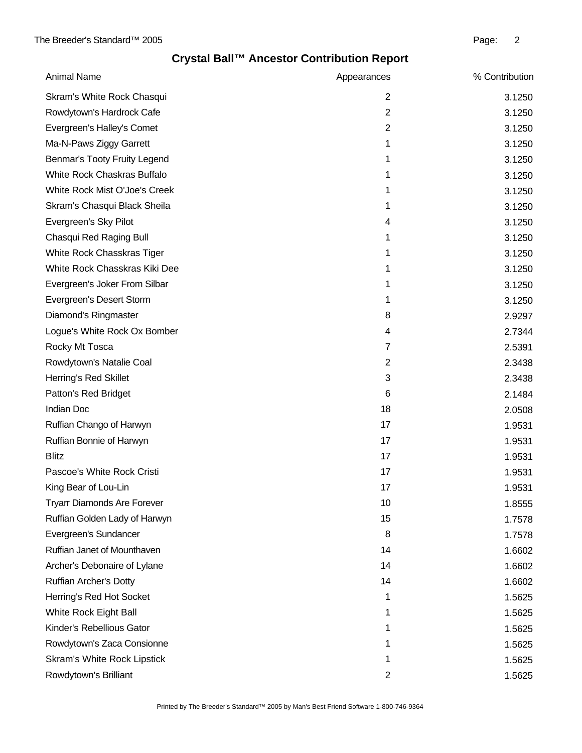| <b>Animal Name</b>                 | Appearances    | % Contribution |
|------------------------------------|----------------|----------------|
| Skram's White Rock Chasqui         | $\overline{2}$ | 3.1250         |
| Rowdytown's Hardrock Cafe          | $\overline{2}$ | 3.1250         |
| Evergreen's Halley's Comet         | $\overline{2}$ | 3.1250         |
| Ma-N-Paws Ziggy Garrett            | 1              | 3.1250         |
| Benmar's Tooty Fruity Legend       | 1              | 3.1250         |
| White Rock Chaskras Buffalo        | 1              | 3.1250         |
| White Rock Mist O'Joe's Creek      | 1              | 3.1250         |
| Skram's Chasqui Black Sheila       | 1              | 3.1250         |
| Evergreen's Sky Pilot              | 4              | 3.1250         |
| Chasqui Red Raging Bull            | 1              | 3.1250         |
| White Rock Chasskras Tiger         | 1              | 3.1250         |
| White Rock Chasskras Kiki Dee      | 1              | 3.1250         |
| Evergreen's Joker From Silbar      | 1              | 3.1250         |
| Evergreen's Desert Storm           | 1              | 3.1250         |
| Diamond's Ringmaster               | 8              | 2.9297         |
| Logue's White Rock Ox Bomber       | 4              | 2.7344         |
| Rocky Mt Tosca                     | 7              | 2.5391         |
| Rowdytown's Natalie Coal           | $\overline{2}$ | 2.3438         |
| Herring's Red Skillet              | 3              | 2.3438         |
| Patton's Red Bridget               | 6              | 2.1484         |
| Indian Doc                         | 18             | 2.0508         |
| Ruffian Chango of Harwyn           | 17             | 1.9531         |
| Ruffian Bonnie of Harwyn           | 17             | 1.9531         |
| <b>Blitz</b>                       | 17             | 1.9531         |
| Pascoe's White Rock Cristi         | 17             | 1.9531         |
| King Bear of Lou-Lin               | 17             | 1.9531         |
| <b>Tryarr Diamonds Are Forever</b> | 10             | 1.8555         |
| Ruffian Golden Lady of Harwyn      | 15             | 1.7578         |
| Evergreen's Sundancer              | 8              | 1.7578         |
| Ruffian Janet of Mounthaven        | 14             | 1.6602         |
| Archer's Debonaire of Lylane       | 14             | 1.6602         |
| Ruffian Archer's Dotty             | 14             | 1.6602         |
| Herring's Red Hot Socket           | 1              | 1.5625         |
| White Rock Eight Ball              | 1              | 1.5625         |
| Kinder's Rebellious Gator          | 1              | 1.5625         |
| Rowdytown's Zaca Consionne         | 1              | 1.5625         |
| Skram's White Rock Lipstick        | 1              | 1.5625         |
| Rowdytown's Brilliant              | 2              | 1.5625         |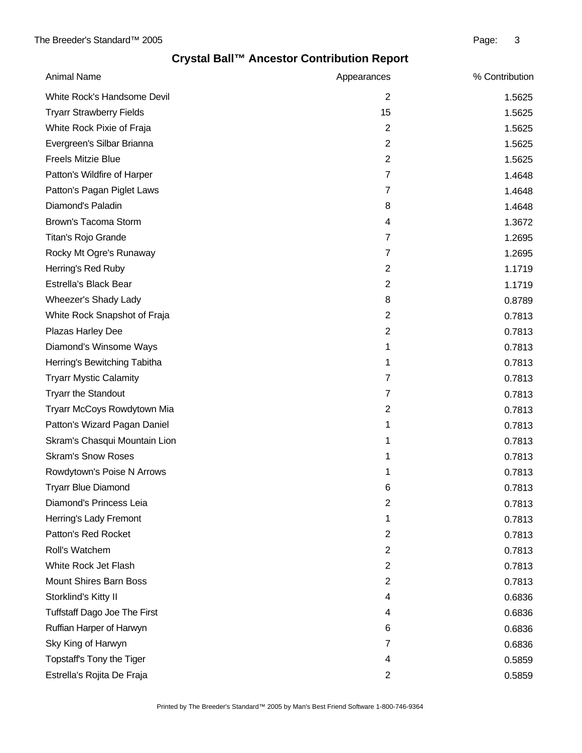| <b>Animal Name</b>                  | Appearances    | % Contribution |
|-------------------------------------|----------------|----------------|
| White Rock's Handsome Devil         | $\overline{2}$ | 1.5625         |
| <b>Tryarr Strawberry Fields</b>     | 15             | 1.5625         |
| White Rock Pixie of Fraja           | $\overline{2}$ | 1.5625         |
| Evergreen's Silbar Brianna          | $\overline{2}$ | 1.5625         |
| <b>Freels Mitzie Blue</b>           | $\overline{2}$ | 1.5625         |
| Patton's Wildfire of Harper         | $\overline{7}$ | 1.4648         |
| Patton's Pagan Piglet Laws          | $\overline{7}$ | 1.4648         |
| Diamond's Paladin                   | 8              | 1.4648         |
| Brown's Tacoma Storm                | 4              | 1.3672         |
| Titan's Rojo Grande                 | 7              | 1.2695         |
| Rocky Mt Ogre's Runaway             | 7              | 1.2695         |
| Herring's Red Ruby                  | $\overline{2}$ | 1.1719         |
| Estrella's Black Bear               | $\overline{2}$ | 1.1719         |
| Wheezer's Shady Lady                | 8              | 0.8789         |
| White Rock Snapshot of Fraja        | $\overline{2}$ | 0.7813         |
| Plazas Harley Dee                   | $\overline{2}$ | 0.7813         |
| Diamond's Winsome Ways              | 1              | 0.7813         |
| Herring's Bewitching Tabitha        | 1              | 0.7813         |
| <b>Tryarr Mystic Calamity</b>       | $\overline{7}$ | 0.7813         |
| <b>Tryarr the Standout</b>          | 7              | 0.7813         |
| Tryarr McCoys Rowdytown Mia         | $\overline{2}$ | 0.7813         |
| Patton's Wizard Pagan Daniel        | 1              | 0.7813         |
| Skram's Chasqui Mountain Lion       | 1              | 0.7813         |
| <b>Skram's Snow Roses</b>           | 1              | 0.7813         |
| Rowdytown's Poise N Arrows          | 1              | 0.7813         |
| <b>Tryarr Blue Diamond</b>          | 6              | 0.7813         |
| Diamond's Princess Leia             | 2              | 0.7813         |
| Herring's Lady Fremont              | 1              | 0.7813         |
| Patton's Red Rocket                 | $\overline{c}$ | 0.7813         |
| Roll's Watchem                      | $\overline{2}$ | 0.7813         |
| White Rock Jet Flash                | 2              | 0.7813         |
| <b>Mount Shires Barn Boss</b>       | 2              | 0.7813         |
| Storklind's Kitty II                | 4              | 0.6836         |
| <b>Tuffstaff Dago Joe The First</b> | 4              | 0.6836         |
| Ruffian Harper of Harwyn            | 6              | 0.6836         |
| Sky King of Harwyn                  | 7              | 0.6836         |
| Topstaff's Tony the Tiger           | 4              | 0.5859         |
| Estrella's Rojita De Fraja          | 2              | 0.5859         |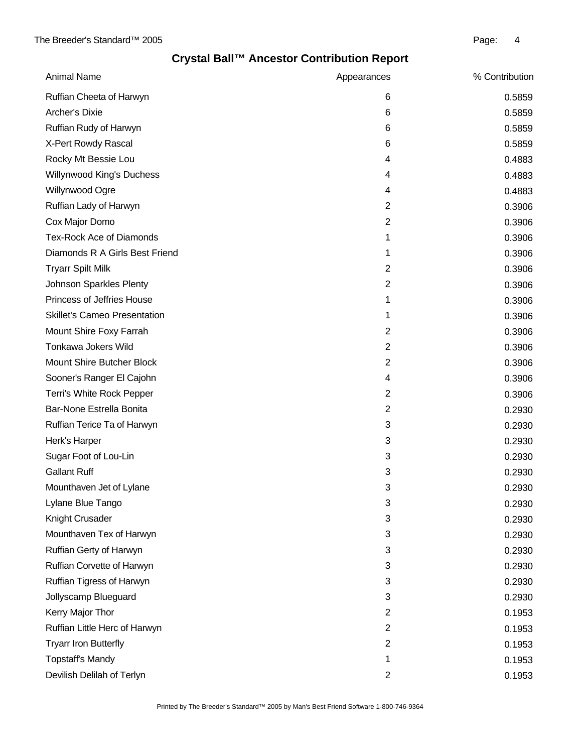| <b>Animal Name</b>                  | Appearances    | % Contribution |
|-------------------------------------|----------------|----------------|
| Ruffian Cheeta of Harwyn            | 6              | 0.5859         |
| <b>Archer's Dixie</b>               | 6              | 0.5859         |
| Ruffian Rudy of Harwyn              | 6              | 0.5859         |
| X-Pert Rowdy Rascal                 | 6              | 0.5859         |
| Rocky Mt Bessie Lou                 | 4              | 0.4883         |
| Willynwood King's Duchess           | 4              | 0.4883         |
| Willynwood Ogre                     | 4              | 0.4883         |
| Ruffian Lady of Harwyn              | $\overline{2}$ | 0.3906         |
| Cox Major Domo                      | $\overline{2}$ | 0.3906         |
| <b>Tex-Rock Ace of Diamonds</b>     | 1              | 0.3906         |
| Diamonds R A Girls Best Friend      | 1              | 0.3906         |
| <b>Tryarr Spilt Milk</b>            | $\overline{2}$ | 0.3906         |
| Johnson Sparkles Plenty             | $\overline{2}$ | 0.3906         |
| Princess of Jeffries House          | 1              | 0.3906         |
| <b>Skillet's Cameo Presentation</b> | 1              | 0.3906         |
| Mount Shire Foxy Farrah             | $\overline{2}$ | 0.3906         |
| Tonkawa Jokers Wild                 | $\overline{2}$ | 0.3906         |
| Mount Shire Butcher Block           | $\overline{2}$ | 0.3906         |
| Sooner's Ranger El Cajohn           | 4              | 0.3906         |
| Terri's White Rock Pepper           | $\overline{2}$ | 0.3906         |
| Bar-None Estrella Bonita            | $\overline{2}$ | 0.2930         |
| Ruffian Terice Ta of Harwyn         | 3              | 0.2930         |
| Herk's Harper                       | 3              | 0.2930         |
| Sugar Foot of Lou-Lin               | 3              | 0.2930         |
| <b>Gallant Ruff</b>                 | 3              | 0.2930         |
| Mounthaven Jet of Lylane            | 3              | 0.2930         |
| Lylane Blue Tango                   | 3              | 0.2930         |
| Knight Crusader                     | 3              | 0.2930         |
| Mounthaven Tex of Harwyn            | 3              | 0.2930         |
| Ruffian Gerty of Harwyn             | 3              | 0.2930         |
| Ruffian Corvette of Harwyn          | 3              | 0.2930         |
| Ruffian Tigress of Harwyn           | 3              | 0.2930         |
| Jollyscamp Blueguard                | 3              | 0.2930         |
| Kerry Major Thor                    | $\overline{2}$ | 0.1953         |
| Ruffian Little Herc of Harwyn       | $\overline{2}$ | 0.1953         |
| <b>Tryarr Iron Butterfly</b>        | $\overline{2}$ | 0.1953         |
| <b>Topstaff's Mandy</b>             | 1              | 0.1953         |
| Devilish Delilah of Terlyn          | $\overline{2}$ | 0.1953         |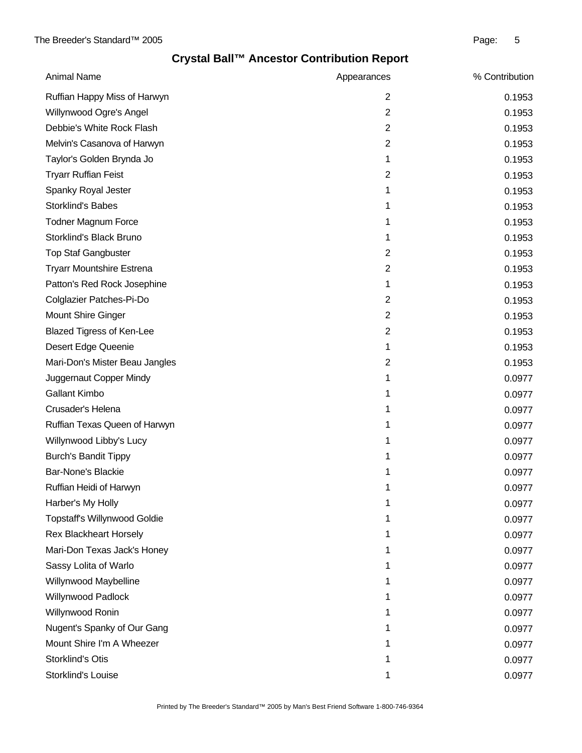| <b>Animal Name</b>                  | Appearances    | % Contribution |
|-------------------------------------|----------------|----------------|
| Ruffian Happy Miss of Harwyn        | $\overline{2}$ | 0.1953         |
| Willynwood Ogre's Angel             | $\overline{2}$ | 0.1953         |
| Debbie's White Rock Flash           | 2              | 0.1953         |
| Melvin's Casanova of Harwyn         | $\overline{2}$ | 0.1953         |
| Taylor's Golden Brynda Jo           | 1              | 0.1953         |
| <b>Tryarr Ruffian Feist</b>         | $\overline{2}$ | 0.1953         |
| Spanky Royal Jester                 | 1              | 0.1953         |
| <b>Storklind's Babes</b>            | 1              | 0.1953         |
| <b>Todner Magnum Force</b>          | 1              | 0.1953         |
| Storklind's Black Bruno             | 1              | 0.1953         |
| <b>Top Staf Gangbuster</b>          | $\overline{2}$ | 0.1953         |
| <b>Tryarr Mountshire Estrena</b>    | $\overline{2}$ | 0.1953         |
| Patton's Red Rock Josephine         | 1              | 0.1953         |
| Colglazier Patches-Pi-Do            | $\overline{2}$ | 0.1953         |
| <b>Mount Shire Ginger</b>           | $\overline{2}$ | 0.1953         |
| <b>Blazed Tigress of Ken-Lee</b>    | $\overline{2}$ | 0.1953         |
| Desert Edge Queenie                 | 1              | 0.1953         |
| Mari-Don's Mister Beau Jangles      | $\overline{2}$ | 0.1953         |
| Juggernaut Copper Mindy             | 1              | 0.0977         |
| <b>Gallant Kimbo</b>                | 1              | 0.0977         |
| Crusader's Helena                   | 1              | 0.0977         |
| Ruffian Texas Queen of Harwyn       | 1              | 0.0977         |
| Willynwood Libby's Lucy             | 1              | 0.0977         |
| <b>Burch's Bandit Tippy</b>         | 1              | 0.0977         |
| <b>Bar-None's Blackie</b>           | 1              | 0.0977         |
| Ruffian Heidi of Harwyn             | 1              | 0.0977         |
| Harber's My Holly                   | 1              | 0.0977         |
| <b>Topstaff's Willynwood Goldie</b> |                | 0.0977         |
| <b>Rex Blackheart Horsely</b>       | 1              | 0.0977         |
| Mari-Don Texas Jack's Honey         |                | 0.0977         |
| Sassy Lolita of Warlo               | 1              | 0.0977         |
| Willynwood Maybelline               | 1              | 0.0977         |
| Willynwood Padlock                  | 1              | 0.0977         |
| Willynwood Ronin                    | 1              | 0.0977         |
| Nugent's Spanky of Our Gang         | 1              | 0.0977         |
| Mount Shire I'm A Wheezer           |                | 0.0977         |
| Storklind's Otis                    | 1              | 0.0977         |
| Storklind's Louise                  | 1              | 0.0977         |